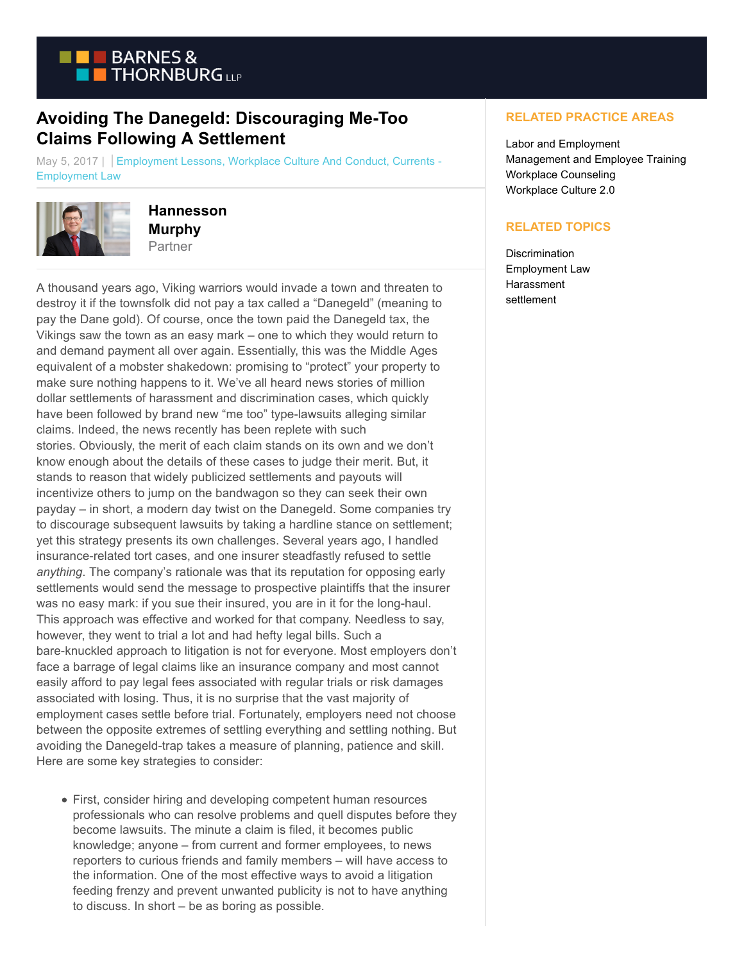

## **Avoiding The Danegeld: Discouraging Me-Too Claims Following A Settlement**

May 5, 2017 | Employment Lessons, Workplace Culture And Conduct, Currents -Employment Law



**Hannesson Murphy** Partner

A thousand years ago, Viking warriors would invade a town and threaten to destroy it if the townsfolk did not pay a tax called a "Danegeld" (meaning to pay the Dane gold). Of course, once the town paid the Danegeld tax, the Vikings saw the town as an easy mark – one to which they would return to and demand payment all over again. Essentially, this was the Middle Ages equivalent of a mobster shakedown: promising to "protect" your property to make sure nothing happens to it. We've all heard news stories of million dollar settlements of harassment and discrimination cases, which quickly have been followed by brand new "me too" type-lawsuits alleging similar claims. Indeed, the news recently has been replete with such stories. Obviously, the merit of each claim stands on its own and we don't know enough about the details of these cases to judge their merit. But, it stands to reason that widely publicized settlements and payouts will incentivize others to jump on the bandwagon so they can seek their own payday – in short, a modern day twist on the Danegeld. Some companies try to discourage subsequent lawsuits by taking a hardline stance on settlement; yet this strategy presents its own challenges. Several years ago, I handled insurance-related tort cases, and one insurer steadfastly refused to settle *anything*. The company's rationale was that its reputation for opposing early settlements would send the message to prospective plaintiffs that the insurer was no easy mark: if you sue their insured, you are in it for the long-haul. This approach was effective and worked for that company. Needless to say, however, they went to trial a lot and had hefty legal bills. Such a bare-knuckled approach to litigation is not for everyone. Most employers don't face a barrage of legal claims like an insurance company and most cannot easily afford to pay legal fees associated with regular trials or risk damages associated with losing. Thus, it is no surprise that the vast majority of employment cases settle before trial. Fortunately, employers need not choose between the opposite extremes of settling everything and settling nothing. But avoiding the Danegeld-trap takes a measure of planning, patience and skill. Here are some key strategies to consider:

First, consider hiring and developing competent human resources professionals who can resolve problems and quell disputes before they become lawsuits. The minute a claim is filed, it becomes public knowledge; anyone – from current and former employees, to news reporters to curious friends and family members – will have access to the information. One of the most effective ways to avoid a litigation feeding frenzy and prevent unwanted publicity is not to have anything to discuss. In short – be as boring as possible.

## **RELATED PRACTICE AREAS**

Labor and Employment Management and Employee Training Workplace Counseling Workplace Culture 2.0

## **RELATED TOPICS**

**Discrimination** Employment Law **Harassment** settlement